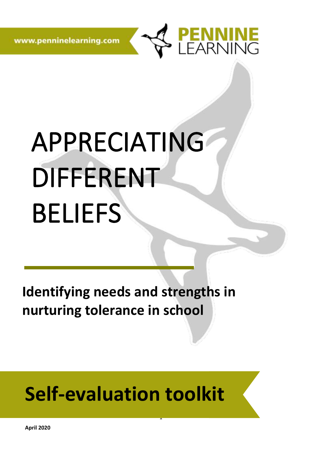www.penninelearning.com



# APPRECIATING DIFFERENT BELIEFS

**Identifying needs and strengths in nurturing tolerance in school** 

# **Self-evaluation toolkit**

1

**April 2020**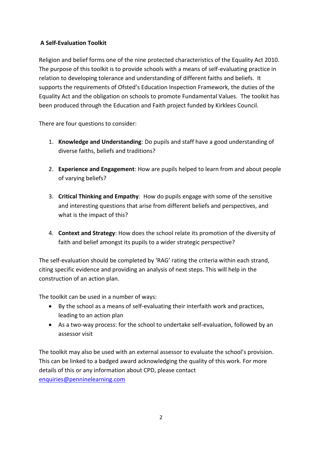#### **A Self-Evaluation Toolkit**

Religion and belief forms one of the nine protected characteristics of the Equality Act 2010. The purpose of this toolkit is to provide schools with a means of self-evaluating practice in relation to developing tolerance and understanding of different faiths and beliefs. It supports the requirements of Ofsted's Education Inspection Framework, the duties of the Equality Act and the obligation on schools to promote Fundamental Values. The toolkit has been produced through the Education and Faith project funded by Kirklees Council.

There are four questions to consider:

- 1. **Knowledge and Understanding**: Do pupils and staff have a good understanding of diverse faiths, beliefs and traditions?
- 2. **Experience and Engagement**: How are pupils helped to learn from and about people of varying beliefs?
- 3. **Critical Thinking and Empathy**: How do pupils engage with some of the sensitive and interesting questions that arise from different beliefs and perspectives, and what is the impact of this?
- 4. **Context and Strategy**: How does the school relate its promotion of the diversity of faith and belief amongst its pupils to a wider strategic perspective?

The self-evaluation should be completed by 'RAG' rating the criteria within each strand, citing specific evidence and providing an analysis of next steps. This will help in the construction of an action plan.

The toolkit can be used in a number of ways:

- By the school as a means of self-evaluating their interfaith work and practices, leading to an action plan
- As a two-way process: for the school to undertake self-evaluation, followed by an assessor visit

The toolkit may also be used with an external assessor to evaluate the school's provision. This can be linked to a badged award acknowledging the quality of this work. For more details of this or any information about CPD, please contact [enquiries@penninelearning.com](mailto:enquiries@penninelearning.com)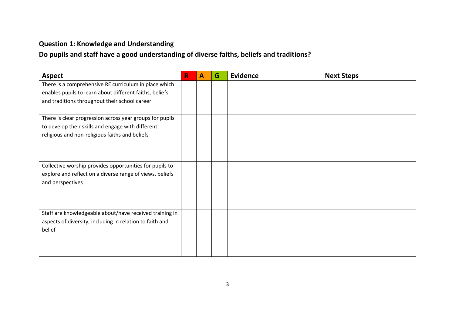### **Question 1: Knowledge and Understanding**

**Do pupils and staff have a good understanding of diverse faiths, beliefs and traditions?**

| <b>Aspect</b>                                            | R | $\mathbf{A}$ | G | <b>Evidence</b> | <b>Next Steps</b> |
|----------------------------------------------------------|---|--------------|---|-----------------|-------------------|
| There is a comprehensive RE curriculum in place which    |   |              |   |                 |                   |
| enables pupils to learn about different faiths, beliefs  |   |              |   |                 |                   |
| and traditions throughout their school career            |   |              |   |                 |                   |
|                                                          |   |              |   |                 |                   |
| There is clear progression across year groups for pupils |   |              |   |                 |                   |
| to develop their skills and engage with different        |   |              |   |                 |                   |
| religious and non-religious faiths and beliefs           |   |              |   |                 |                   |
|                                                          |   |              |   |                 |                   |
|                                                          |   |              |   |                 |                   |
|                                                          |   |              |   |                 |                   |
| Collective worship provides opportunities for pupils to  |   |              |   |                 |                   |
| explore and reflect on a diverse range of views, beliefs |   |              |   |                 |                   |
| and perspectives                                         |   |              |   |                 |                   |
|                                                          |   |              |   |                 |                   |
|                                                          |   |              |   |                 |                   |
| Staff are knowledgeable about/have received training in  |   |              |   |                 |                   |
| aspects of diversity, including in relation to faith and |   |              |   |                 |                   |
| belief                                                   |   |              |   |                 |                   |
|                                                          |   |              |   |                 |                   |
|                                                          |   |              |   |                 |                   |
|                                                          |   |              |   |                 |                   |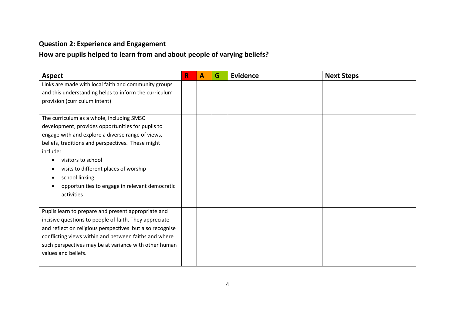# **Question 2: Experience and Engagement**

### **How are pupils helped to learn from and about people of varying beliefs?**

| <b>Aspect</b>                                            | R | $\mathbf{A}$ | G | <b>Evidence</b> | <b>Next Steps</b> |
|----------------------------------------------------------|---|--------------|---|-----------------|-------------------|
| Links are made with local faith and community groups     |   |              |   |                 |                   |
| and this understanding helps to inform the curriculum    |   |              |   |                 |                   |
| provision (curriculum intent)                            |   |              |   |                 |                   |
|                                                          |   |              |   |                 |                   |
| The curriculum as a whole, including SMSC                |   |              |   |                 |                   |
| development, provides opportunities for pupils to        |   |              |   |                 |                   |
| engage with and explore a diverse range of views,        |   |              |   |                 |                   |
| beliefs, traditions and perspectives. These might        |   |              |   |                 |                   |
| include:                                                 |   |              |   |                 |                   |
| visitors to school                                       |   |              |   |                 |                   |
| visits to different places of worship                    |   |              |   |                 |                   |
| school linking                                           |   |              |   |                 |                   |
| opportunities to engage in relevant democratic           |   |              |   |                 |                   |
| activities                                               |   |              |   |                 |                   |
|                                                          |   |              |   |                 |                   |
| Pupils learn to prepare and present appropriate and      |   |              |   |                 |                   |
| incisive questions to people of faith. They appreciate   |   |              |   |                 |                   |
| and reflect on religious perspectives but also recognise |   |              |   |                 |                   |
| conflicting views within and between faiths and where    |   |              |   |                 |                   |
| such perspectives may be at variance with other human    |   |              |   |                 |                   |
| values and beliefs.                                      |   |              |   |                 |                   |
|                                                          |   |              |   |                 |                   |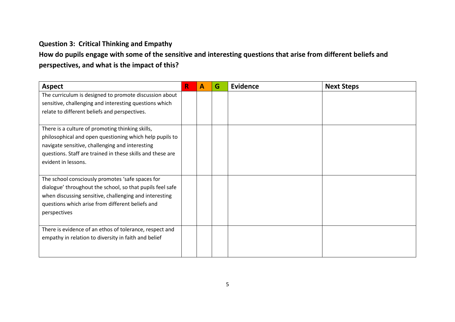#### **Question 3: Critical Thinking and Empathy**

## **How do pupils engage with some of the sensitive and interesting questions that arise from different beliefs and perspectives, and what is the impact of this?**

| <b>Aspect</b>                                              | R | $\mathbf{A}$ | G | Evidence | <b>Next Steps</b> |
|------------------------------------------------------------|---|--------------|---|----------|-------------------|
| The curriculum is designed to promote discussion about     |   |              |   |          |                   |
| sensitive, challenging and interesting questions which     |   |              |   |          |                   |
| relate to different beliefs and perspectives.              |   |              |   |          |                   |
|                                                            |   |              |   |          |                   |
| There is a culture of promoting thinking skills,           |   |              |   |          |                   |
| philosophical and open questioning which help pupils to    |   |              |   |          |                   |
| navigate sensitive, challenging and interesting            |   |              |   |          |                   |
| questions. Staff are trained in these skills and these are |   |              |   |          |                   |
| evident in lessons.                                        |   |              |   |          |                   |
|                                                            |   |              |   |          |                   |
| The school consciously promotes 'safe spaces for           |   |              |   |          |                   |
| dialogue' throughout the school, so that pupils feel safe  |   |              |   |          |                   |
| when discussing sensitive, challenging and interesting     |   |              |   |          |                   |
| questions which arise from different beliefs and           |   |              |   |          |                   |
| perspectives                                               |   |              |   |          |                   |
|                                                            |   |              |   |          |                   |
| There is evidence of an ethos of tolerance, respect and    |   |              |   |          |                   |
| empathy in relation to diversity in faith and belief       |   |              |   |          |                   |
|                                                            |   |              |   |          |                   |
|                                                            |   |              |   |          |                   |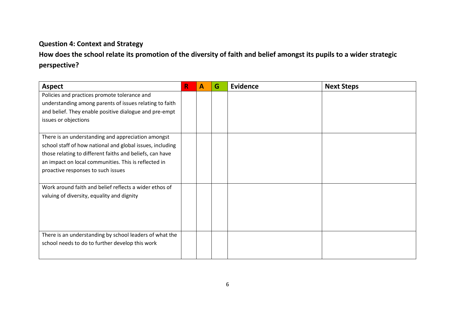#### **Question 4: Context and Strategy**

# **How does the school relate its promotion of the diversity of faith and belief amongst its pupils to a wider strategic perspective?**

| R | $\mathbf{A}$ | G | Evidence | <b>Next Steps</b> |
|---|--------------|---|----------|-------------------|
|   |              |   |          |                   |
|   |              |   |          |                   |
|   |              |   |          |                   |
|   |              |   |          |                   |
|   |              |   |          |                   |
|   |              |   |          |                   |
|   |              |   |          |                   |
|   |              |   |          |                   |
|   |              |   |          |                   |
|   |              |   |          |                   |
|   |              |   |          |                   |
|   |              |   |          |                   |
|   |              |   |          |                   |
|   |              |   |          |                   |
|   |              |   |          |                   |
|   |              |   |          |                   |
|   |              |   |          |                   |
|   |              |   |          |                   |
|   |              |   |          |                   |
|   |              |   |          |                   |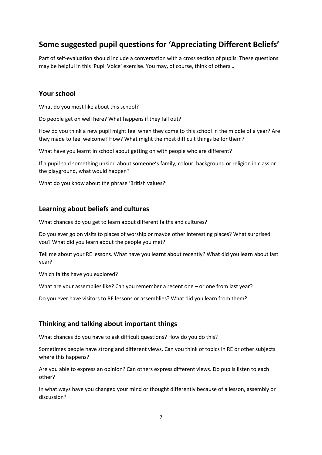#### **Some suggested pupil questions for 'Appreciating Different Beliefs'**

Part of self-evaluation should include a conversation with a cross section of pupils. These questions may be helpful in this 'Pupil Voice' exercise. You may, of course, think of others…

#### **Your school**

What do you most like about this school?

Do people get on well here? What happens if they fall out?

How do you think a new pupil might feel when they come to this school in the middle of a year? Are they made to feel welcome? How? What might the most difficult things be for them?

What have you learnt in school about getting on with people who are different?

If a pupil said something unkind about someone's family, colour, background or religion in class or the playground, what would happen?

What do you know about the phrase 'British values?'

#### **Learning about beliefs and cultures**

What chances do you get to learn about different faiths and cultures?

Do you ever go on visits to places of worship or maybe other interesting places? What surprised you? What did you learn about the people you met?

Tell me about your RE lessons. What have you learnt about recently? What did you learn about last year?

Which faiths have you explored?

What are your assemblies like? Can you remember a recent one – or one from last year?

Do you ever have visitors to RE lessons or assemblies? What did you learn from them?

#### **Thinking and talking about important things**

What chances do you have to ask difficult questions? How do you do this?

Sometimes people have strong and different views. Can you think of topics in RE or other subjects where this happens?

Are you able to express an opinion? Can others express different views. Do pupils listen to each other?

In what ways have you changed your mind or thought differently because of a lesson, assembly or discussion?